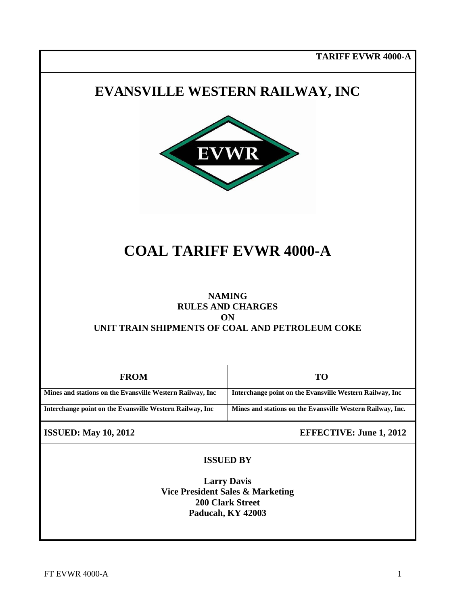**TARIFF EVWR 4000-A**

## **EVANSVILLE WESTERN RAILWAY, INC**



# **COAL TARIFF EVWR 4000-A**

#### **NAMING RULES AND CHARGES ON UNIT TRAIN SHIPMENTS OF COAL AND PETROLEUM COKE**

| <b>FROM</b>                                                | то                                                         |
|------------------------------------------------------------|------------------------------------------------------------|
| Mines and stations on the Evansville Western Railway, Inc. | Interchange point on the Evansville Western Railway, Inc.  |
| Interchange point on the Evansville Western Railway, Inc   | Mines and stations on the Evansville Western Railway, Inc. |

**ISSUED:** May 10, 2012 **EFFECTIVE:** June 1, 2012

#### **ISSUED BY**

**Larry Davis Vice President Sales & Marketing 200 Clark Street Paducah, KY 42003**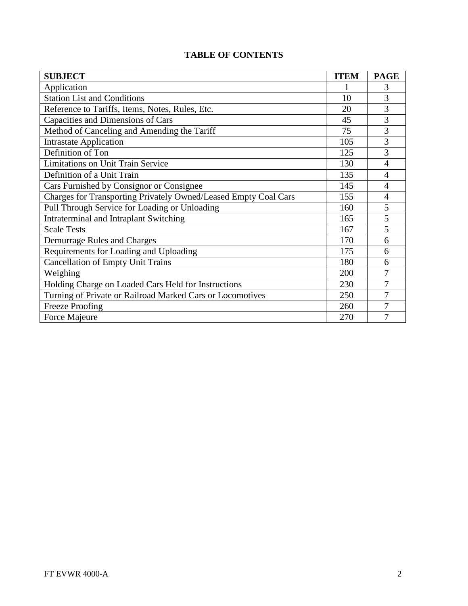|  |  | <b>TABLE OF CONTENTS</b> |
|--|--|--------------------------|
|--|--|--------------------------|

| <b>SUBJECT</b>                                                  | <b>ITEM</b> | <b>PAGE</b>    |
|-----------------------------------------------------------------|-------------|----------------|
| Application                                                     |             | 3              |
| <b>Station List and Conditions</b>                              | 10          | 3              |
| Reference to Tariffs, Items, Notes, Rules, Etc.                 | 20          | 3              |
| Capacities and Dimensions of Cars                               | 45          | 3              |
| Method of Canceling and Amending the Tariff                     | 75          | 3              |
| <b>Intrastate Application</b>                                   | 105         | 3              |
| Definition of Ton                                               | 125         | 3              |
| <b>Limitations on Unit Train Service</b>                        | 130         | $\overline{4}$ |
| Definition of a Unit Train                                      | 135         | 4              |
| Cars Furnished by Consignor or Consignee                        | 145         | $\overline{4}$ |
| Charges for Transporting Privately Owned/Leased Empty Coal Cars | 155         | 4              |
| Pull Through Service for Loading or Unloading                   | 160         | 5              |
| Intraterminal and Intraplant Switching                          | 165         | 5              |
| <b>Scale Tests</b>                                              | 167         | 5              |
| Demurrage Rules and Charges                                     | 170         | 6              |
| Requirements for Loading and Uploading                          | 175         | 6              |
| <b>Cancellation of Empty Unit Trains</b>                        | 180         | 6              |
| Weighing                                                        | 200         | 7              |
| Holding Charge on Loaded Cars Held for Instructions             |             | 7              |
| Turning of Private or Railroad Marked Cars or Locomotives       |             | 7              |
| <b>Freeze Proofing</b>                                          |             | 7              |
| Force Majeure                                                   | 270         | 7              |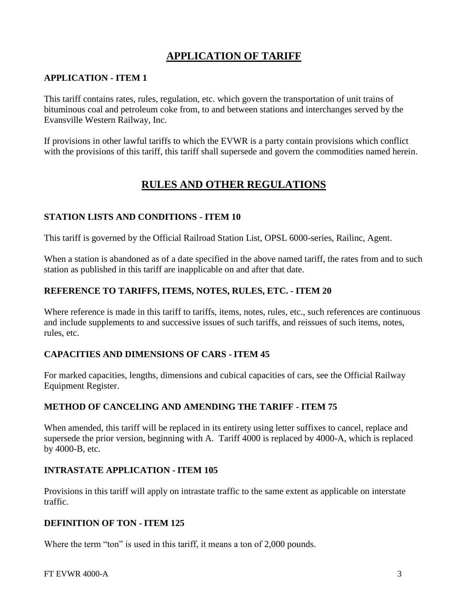## **APPLICATION OF TARIFF**

#### **APPLICATION - ITEM 1**

This tariff contains rates, rules, regulation, etc. which govern the transportation of unit trains of bituminous coal and petroleum coke from, to and between stations and interchanges served by the Evansville Western Railway, Inc.

If provisions in other lawful tariffs to which the EVWR is a party contain provisions which conflict with the provisions of this tariff, this tariff shall supersede and govern the commodities named herein.

### **RULES AND OTHER REGULATIONS**

#### **STATION LISTS AND CONDITIONS - ITEM 10**

This tariff is governed by the Official Railroad Station List, OPSL 6000-series, Railinc, Agent.

When a station is abandoned as of a date specified in the above named tariff, the rates from and to such station as published in this tariff are inapplicable on and after that date.

#### **REFERENCE TO TARIFFS, ITEMS, NOTES, RULES, ETC. - ITEM 20**

Where reference is made in this tariff to tariffs, items, notes, rules, etc., such references are continuous and include supplements to and successive issues of such tariffs, and reissues of such items, notes, rules, etc.

#### **CAPACITIES AND DIMENSIONS OF CARS - ITEM 45**

For marked capacities, lengths, dimensions and cubical capacities of cars, see the Official Railway Equipment Register.

#### **METHOD OF CANCELING AND AMENDING THE TARIFF - ITEM 75**

When amended, this tariff will be replaced in its entirety using letter suffixes to cancel, replace and supersede the prior version, beginning with A. Tariff 4000 is replaced by 4000-A, which is replaced by 4000-B, etc.

#### **INTRASTATE APPLICATION - ITEM 105**

Provisions in this tariff will apply on intrastate traffic to the same extent as applicable on interstate traffic.

#### **DEFINITION OF TON - ITEM 125**

Where the term "ton" is used in this tariff, it means a ton of 2,000 pounds.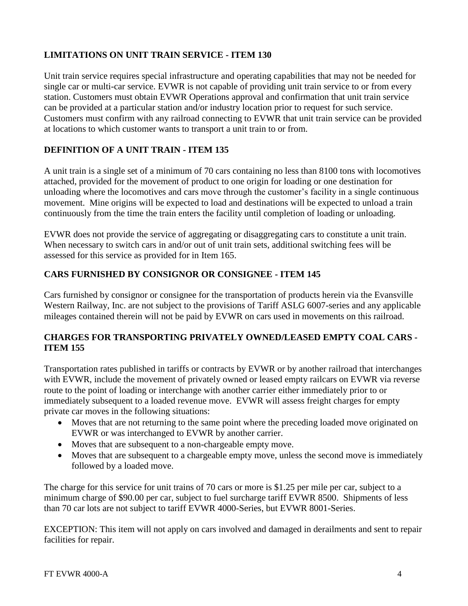#### **LIMITATIONS ON UNIT TRAIN SERVICE - ITEM 130**

Unit train service requires special infrastructure and operating capabilities that may not be needed for single car or multi-car service. EVWR is not capable of providing unit train service to or from every station. Customers must obtain EVWR Operations approval and confirmation that unit train service can be provided at a particular station and/or industry location prior to request for such service. Customers must confirm with any railroad connecting to EVWR that unit train service can be provided at locations to which customer wants to transport a unit train to or from.

#### **DEFINITION OF A UNIT TRAIN - ITEM 135**

A unit train is a single set of a minimum of 70 cars containing no less than 8100 tons with locomotives attached, provided for the movement of product to one origin for loading or one destination for unloading where the locomotives and cars move through the customer's facility in a single continuous movement. Mine origins will be expected to load and destinations will be expected to unload a train continuously from the time the train enters the facility until completion of loading or unloading.

EVWR does not provide the service of aggregating or disaggregating cars to constitute a unit train. When necessary to switch cars in and/or out of unit train sets, additional switching fees will be assessed for this service as provided for in Item 165.

#### **CARS FURNISHED BY CONSIGNOR OR CONSIGNEE - ITEM 145**

Cars furnished by consignor or consignee for the transportation of products herein via the Evansville Western Railway, Inc. are not subject to the provisions of Tariff ASLG 6007-series and any applicable mileages contained therein will not be paid by EVWR on cars used in movements on this railroad.

#### **CHARGES FOR TRANSPORTING PRIVATELY OWNED/LEASED EMPTY COAL CARS - ITEM 155**

Transportation rates published in tariffs or contracts by EVWR or by another railroad that interchanges with EVWR, include the movement of privately owned or leased empty railcars on EVWR via reverse route to the point of loading or interchange with another carrier either immediately prior to or immediately subsequent to a loaded revenue move. EVWR will assess freight charges for empty private car moves in the following situations:

- Moves that are not returning to the same point where the preceding loaded move originated on EVWR or was interchanged to EVWR by another carrier.
- Moves that are subsequent to a non-chargeable empty move.
- Moves that are subsequent to a chargeable empty move, unless the second move is immediately followed by a loaded move.

The charge for this service for unit trains of 70 cars or more is \$1.25 per mile per car, subject to a minimum charge of \$90.00 per car, subject to fuel surcharge tariff EVWR 8500. Shipments of less than 70 car lots are not subject to tariff EVWR 4000-Series, but EVWR 8001-Series.

EXCEPTION: This item will not apply on cars involved and damaged in derailments and sent to repair facilities for repair.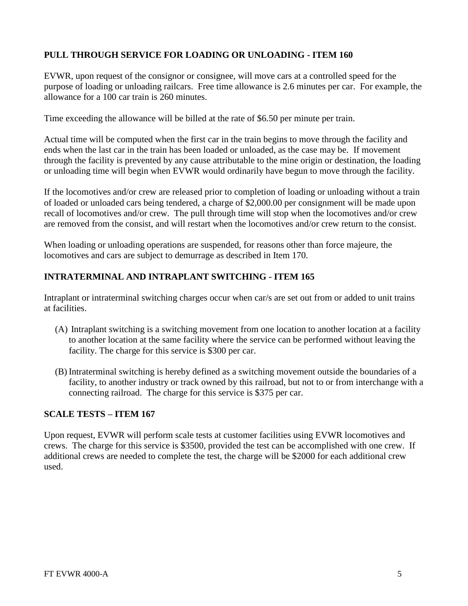#### **PULL THROUGH SERVICE FOR LOADING OR UNLOADING - ITEM 160**

EVWR, upon request of the consignor or consignee, will move cars at a controlled speed for the purpose of loading or unloading railcars. Free time allowance is 2.6 minutes per car. For example, the allowance for a 100 car train is 260 minutes.

Time exceeding the allowance will be billed at the rate of \$6.50 per minute per train.

Actual time will be computed when the first car in the train begins to move through the facility and ends when the last car in the train has been loaded or unloaded, as the case may be. If movement through the facility is prevented by any cause attributable to the mine origin or destination, the loading or unloading time will begin when EVWR would ordinarily have begun to move through the facility.

If the locomotives and/or crew are released prior to completion of loading or unloading without a train of loaded or unloaded cars being tendered, a charge of \$2,000.00 per consignment will be made upon recall of locomotives and/or crew. The pull through time will stop when the locomotives and/or crew are removed from the consist, and will restart when the locomotives and/or crew return to the consist.

When loading or unloading operations are suspended, for reasons other than force majeure, the locomotives and cars are subject to demurrage as described in Item 170.

#### **INTRATERMINAL AND INTRAPLANT SWITCHING - ITEM 165**

Intraplant or intraterminal switching charges occur when car/s are set out from or added to unit trains at facilities.

- (A) Intraplant switching is a switching movement from one location to another location at a facility to another location at the same facility where the service can be performed without leaving the facility. The charge for this service is \$300 per car.
- (B) Intraterminal switching is hereby defined as a switching movement outside the boundaries of a facility, to another industry or track owned by this railroad, but not to or from interchange with a connecting railroad. The charge for this service is \$375 per car.

#### **SCALE TESTS – ITEM 167**

Upon request, EVWR will perform scale tests at customer facilities using EVWR locomotives and crews. The charge for this service is \$3500, provided the test can be accomplished with one crew. If additional crews are needed to complete the test, the charge will be \$2000 for each additional crew used.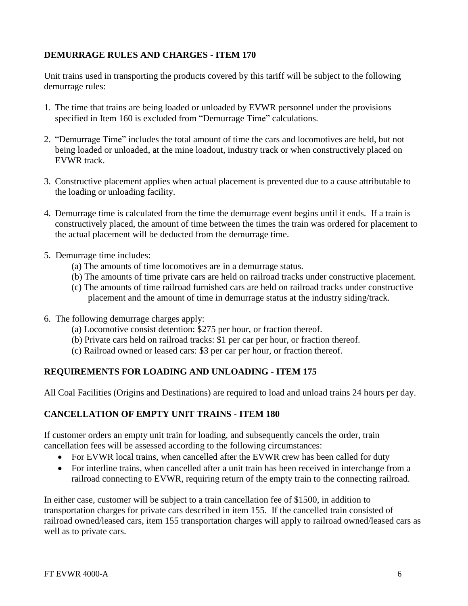#### **DEMURRAGE RULES AND CHARGES** - **ITEM 170**

Unit trains used in transporting the products covered by this tariff will be subject to the following demurrage rules:

- 1. The time that trains are being loaded or unloaded by EVWR personnel under the provisions specified in Item 160 is excluded from "Demurrage Time" calculations.
- 2. "Demurrage Time" includes the total amount of time the cars and locomotives are held, but not being loaded or unloaded, at the mine loadout, industry track or when constructively placed on EVWR track.
- 3. Constructive placement applies when actual placement is prevented due to a cause attributable to the loading or unloading facility.
- 4. Demurrage time is calculated from the time the demurrage event begins until it ends. If a train is constructively placed, the amount of time between the times the train was ordered for placement to the actual placement will be deducted from the demurrage time.
- 5. Demurrage time includes:
	- (a) The amounts of time locomotives are in a demurrage status.
	- (b) The amounts of time private cars are held on railroad tracks under constructive placement.
	- (c) The amounts of time railroad furnished cars are held on railroad tracks under constructive placement and the amount of time in demurrage status at the industry siding/track.
- 6. The following demurrage charges apply:
	- (a) Locomotive consist detention: \$275 per hour, or fraction thereof.
	- (b) Private cars held on railroad tracks: \$1 per car per hour, or fraction thereof.
	- (c) Railroad owned or leased cars: \$3 per car per hour, or fraction thereof.

#### **REQUIREMENTS FOR LOADING AND UNLOADING - ITEM 175**

All Coal Facilities (Origins and Destinations) are required to load and unload trains 24 hours per day.

#### **CANCELLATION OF EMPTY UNIT TRAINS - ITEM 180**

If customer orders an empty unit train for loading, and subsequently cancels the order, train cancellation fees will be assessed according to the following circumstances:

- For EVWR local trains, when cancelled after the EVWR crew has been called for duty
- For interline trains, when cancelled after a unit train has been received in interchange from a railroad connecting to EVWR, requiring return of the empty train to the connecting railroad.

In either case, customer will be subject to a train cancellation fee of \$1500, in addition to transportation charges for private cars described in item 155. If the cancelled train consisted of railroad owned/leased cars, item 155 transportation charges will apply to railroad owned/leased cars as well as to private cars.